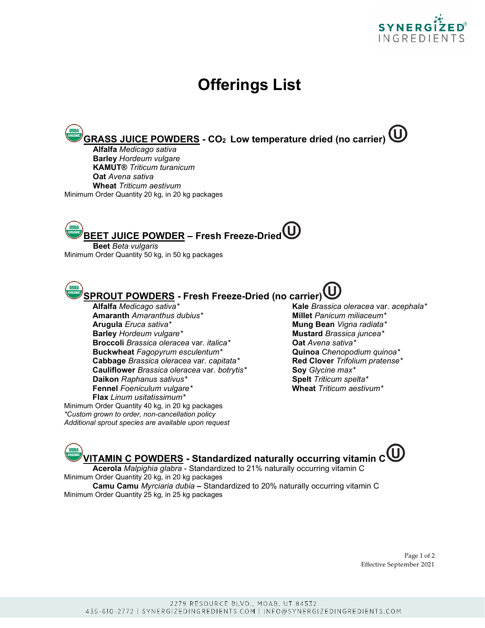

## **Offerings List**

**GRASS JUICE POWDERS - CO2 Low temperature dried (no carrier)**

**Alfalfa** *Medicago sativa* **Barley** *Hordeum vulgare* **KAMUT®** *Triticum turanicum* **Oat** *Avena sativa* **Wheat** *Triticum aestivum* Minimum Order Quantity 20 kg, in 20 kg packages

**BEET JUICE POWDER – Fresh Freeze-Dried**

**Beet** *Beta vulgaris* Minimum Order Quantity 50 kg, in 50 kg packages

**SPROUT POWDERS - Fresh Freeze-Dried (no carrier)**

**Amaranth** *Amaranthus dubius\** **Arugula** *Eruca sativa\** **Mung Bean** *Vigna radiata\** **Barley** *Hordeum vulgare\** **Mustard** *Brassica juncea\**<br>**Broccoli** *Brassica oleracea var. italica\** **Mustard Oat** *Avena sativa\** **Broccoli** *Brassica oleracea* var. *italica*<sup>\*</sup> **Buckwheat** *Fagopyrum esculentum\** **Quinoa** *Chenopodium quinoa\** **Cabbage** *Brassica oleracea* var. *capitata\** **Red Clover** *Trifolium pratense\** **Cauliflower** *Brassica oleracea* var. *botrytis\** **Soy** *Glycine max\** **Daikon** *Raphanus sativus\* Spelt Triticum spelta\**<br> **Fennel** *Foeniculum vulgare\** **Algebrary <b>Spelt Wheat** *Triticum aestivum\** **Fennel** Foeniculum vulgare\* **Flax** *Linum usitatissimum\**

Minimum Order Quantity 40 kg, in 20 kg packages *\*Custom grown to order, non-cancellation policy Additional sprout species are available upon request* **Alfalfa** *Medicago sativa\** **Kale** *Brassica oleracea* var. *acephala\**

**TISDA VITAMIN C POWDERS - Standardized naturally occurring vitamin C Acerola** *Malpighia glabra* - Standardized to 21% naturally occurring vitamin C

Minimum Order Quantity 20 kg, in 20 kg packages **Camu Camu** *Myrciaria dubia* **–** Standardized to 20% naturally occurring vitamin C

Minimum Order Quantity 25 kg, in 25 kg packages

Page 1 of 2 Effective September 2021